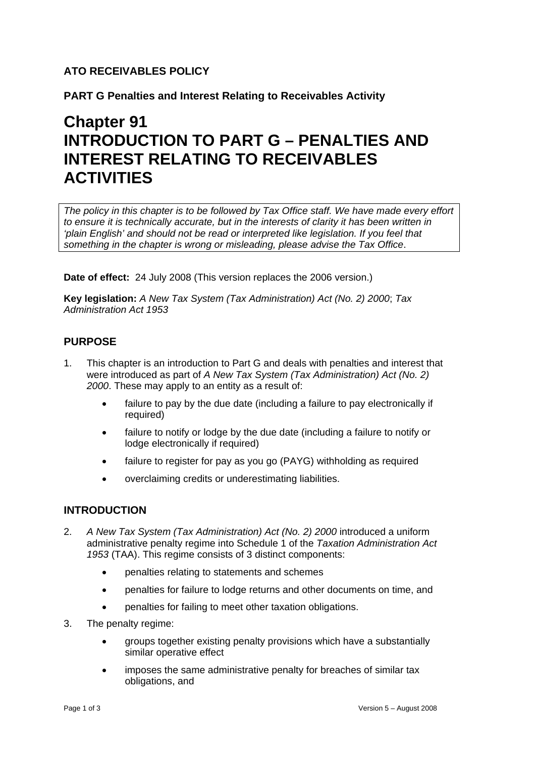# **ATO RECEIVABLES POLICY**

**PART G Penalties and Interest Relating to Receivables Activity** 

# **Chapter 91 INTRODUCTION TO PART G – PENALTIES AND INTEREST RELATING TO RECEIVABLES ACTIVITIES**

*The policy in this chapter is to be followed by Tax Office staff. We have made every effort to ensure it is technically accurate, but in the interests of clarity it has been written in 'plain English' and should not be read or interpreted like legislation. If you feel that something in the chapter is wrong or misleading, please advise the Tax Office*.

**Date of effect:** 24 July 2008 (This version replaces the 2006 version.)

**Key legislation:** *A New Tax System (Tax Administration) Act (No. 2) 2000*; *Tax Administration Act 1953*

## **PURPOSE**

- 1. This chapter is an introduction to Part G and deals with penalties and interest that were introduced as part of *A New Tax System (Tax Administration) Act (No. 2) 2000*. These may apply to an entity as a result of:
	- failure to pay by the due date (including a failure to pay electronically if required)
	- failure to notify or lodge by the due date (including a failure to notify or lodge electronically if required)
	- failure to register for pay as you go (PAYG) withholding as required
	- overclaiming credits or underestimating liabilities.

#### **INTRODUCTION**

- 2. *A New Tax System (Tax Administration) Act (No. 2) 2000* introduced a uniform administrative penalty regime into Schedule 1 of the *Taxation Administration Act 1953* (TAA). This regime consists of 3 distinct components:
	- penalties relating to statements and schemes
	- penalties for failure to lodge returns and other documents on time, and
	- penalties for failing to meet other taxation obligations.
- 3. The penalty regime:
	- groups together existing penalty provisions which have a substantially similar operative effect
	- imposes the same administrative penalty for breaches of similar tax obligations, and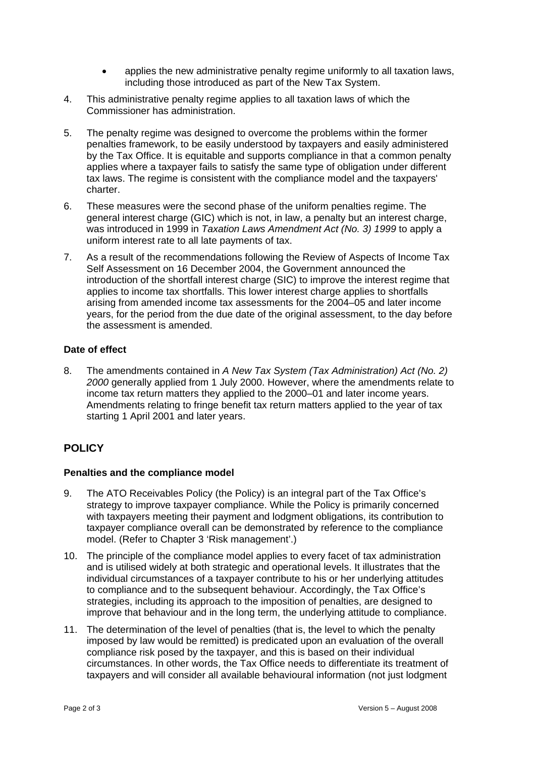- applies the new administrative penalty regime uniformly to all taxation laws, including those introduced as part of the New Tax System.
- 4. This administrative penalty regime applies to all taxation laws of which the Commissioner has administration.
- 5. The penalty regime was designed to overcome the problems within the former penalties framework, to be easily understood by taxpayers and easily administered by the Tax Office. It is equitable and supports compliance in that a common penalty applies where a taxpayer fails to satisfy the same type of obligation under different tax laws. The regime is consistent with the compliance model and the taxpayers' charter.
- 6. These measures were the second phase of the uniform penalties regime. The general interest charge (GIC) which is not, in law, a penalty but an interest charge, was introduced in 1999 in *Taxation Laws Amendment Act (No. 3) 1999* to apply a uniform interest rate to all late payments of tax.
- 7. As a result of the recommendations following the Review of Aspects of Income Tax Self Assessment on 16 December 2004, the Government announced the introduction of the shortfall interest charge (SIC) to improve the interest regime that applies to income tax shortfalls. This lower interest charge applies to shortfalls arising from amended income tax assessments for the 2004–05 and later income years, for the period from the due date of the original assessment, to the day before the assessment is amended.

#### **Date of effect**

8. The amendments contained in *A New Tax System (Tax Administration) Act (No. 2) 2000* generally applied from 1 July 2000. However, where the amendments relate to income tax return matters they applied to the 2000–01 and later income years. Amendments relating to fringe benefit tax return matters applied to the year of tax starting 1 April 2001 and later years.

# **POLICY**

## **Penalties and the compliance model**

- 9. The ATO Receivables Policy (the Policy) is an integral part of the Tax Office's strategy to improve taxpayer compliance. While the Policy is primarily concerned with taxpayers meeting their payment and lodgment obligations, its contribution to taxpayer compliance overall can be demonstrated by reference to the compliance model. (Refer to Chapter 3 'Risk management'.)
- 10. The principle of the compliance model applies to every facet of tax administration and is utilised widely at both strategic and operational levels. It illustrates that the individual circumstances of a taxpayer contribute to his or her underlying attitudes to compliance and to the subsequent behaviour. Accordingly, the Tax Office's strategies, including its approach to the imposition of penalties, are designed to improve that behaviour and in the long term, the underlying attitude to compliance.
- 11. The determination of the level of penalties (that is, the level to which the penalty imposed by law would be remitted) is predicated upon an evaluation of the overall compliance risk posed by the taxpayer, and this is based on their individual circumstances. In other words, the Tax Office needs to differentiate its treatment of taxpayers and will consider all available behavioural information (not just lodgment